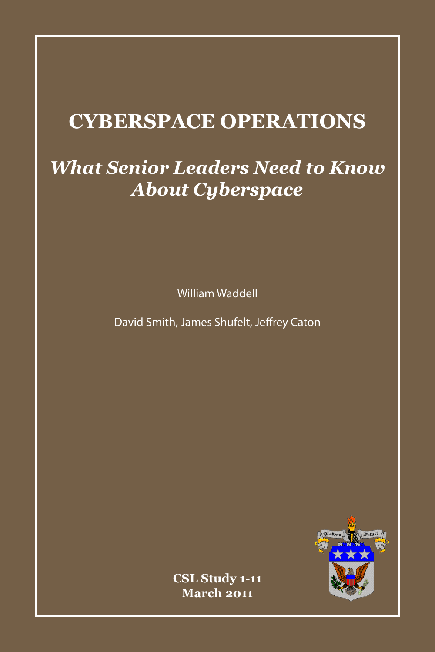# **CYBERSPACE OPERATIONS**

# *What Senior Leaders Need to Know About Cyberspace*

William Waddell

David Smith, James Shufelt, Jeffrey Caton



**CSL Study 1-11 March 2011**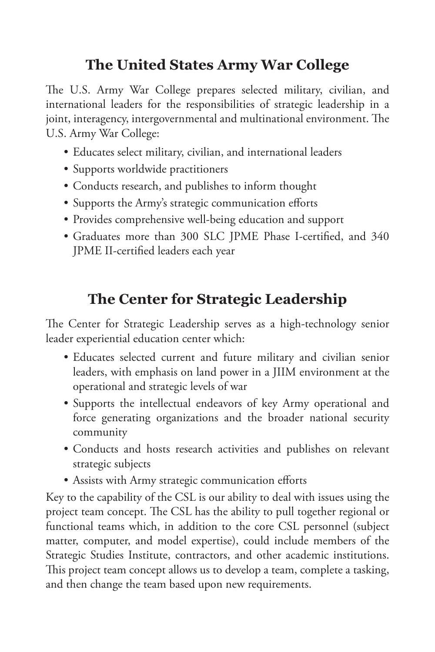## **The United States Army War College**

The U.S. Army War College prepares selected military, civilian, and international leaders for the responsibilities of strategic leadership in a joint, interagency, intergovernmental and multinational environment. The U.S. Army War College:

- Educates select military, civilian, and international leaders
- Supports worldwide practitioners
- Conducts research, and publishes to inform thought
- Supports the Army's strategic communication efforts
- Provides comprehensive well-being education and support
- Graduates more than 300 SLC JPME Phase I-certified, and 340 JPME II-certified leaders each year

## **The Center for Strategic Leadership**

The Center for Strategic Leadership serves as a high-technology senior leader experiential education center which:

- Educates selected current and future military and civilian senior leaders, with emphasis on land power in a JIIM environment at the operational and strategic levels of war
- Supports the intellectual endeavors of key Army operational and force generating organizations and the broader national security community
- Conducts and hosts research activities and publishes on relevant strategic subjects
- Assists with Army strategic communication efforts

Key to the capability of the CSL is our ability to deal with issues using the project team concept. The CSL has the ability to pull together regional or functional teams which, in addition to the core CSL personnel (subject matter, computer, and model expertise), could include members of the Strategic Studies Institute, contractors, and other academic institutions. This project team concept allows us to develop a team, complete a tasking, and then change the team based upon new requirements.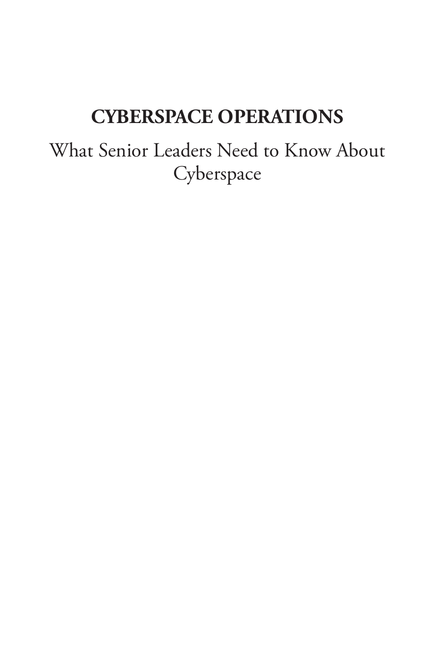# **CYBERSPACE OPERATIONS**

What Senior Leaders Need to Know About **Cyberspace**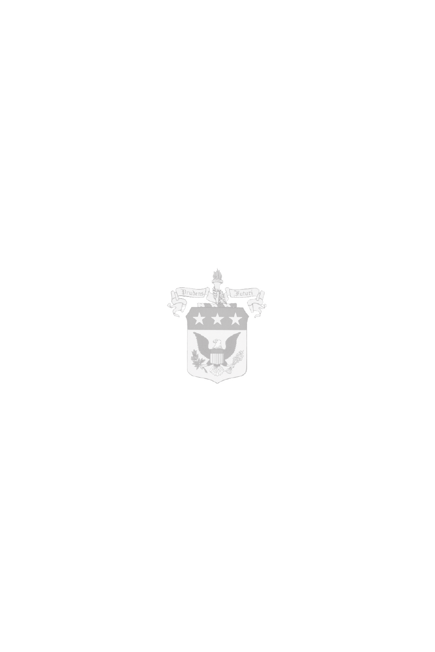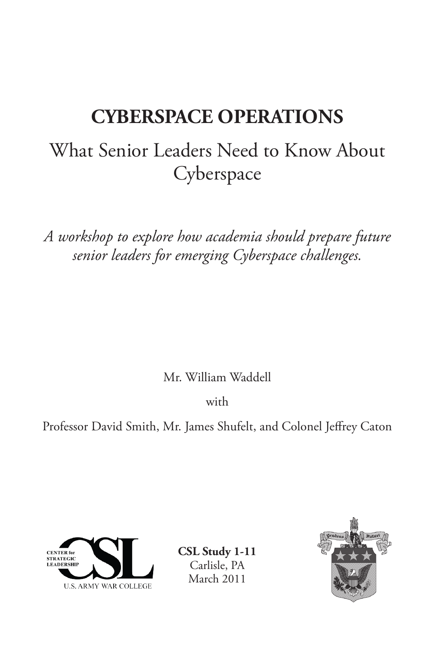# **CYBERSPACE OPERATIONS**

# What Senior Leaders Need to Know About **Cyberspace**

*A workshop to explore how academia should prepare future senior leaders for emerging Cyberspace challenges.*

Mr. William Waddell

with

Professor David Smith, Mr. James Shufelt, and Colonel Jeffrey Caton



**CSL Study 1-11** Carlisle, PA March 2011

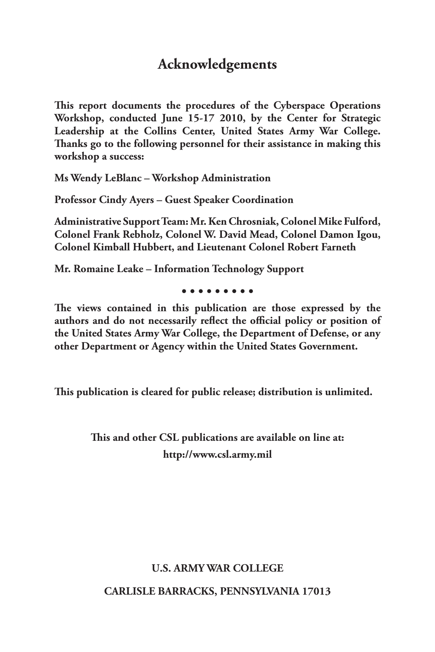#### **Acknowledgements**

**This report documents the procedures of the Cyberspace Operations Workshop, conducted June 15-17 2010, by the Center for Strategic Leadership at the Collins Center, United States Army War College. Thanks go to the following personnel for their assistance in making this workshop a success:**

**Ms Wendy LeBlanc – Workshop Administration**

**Professor Cindy Ayers – Guest Speaker Coordination**

**Administrative Support Team: Mr. Ken Chrosniak, Colonel Mike Fulford, Colonel Frank Rebholz, Colonel W. David Mead, Colonel Damon Igou, Colonel Kimball Hubbert, and Lieutenant Colonel Robert Farneth** 

**Mr. Romaine Leake – Information Technology Support**

**The views contained in this publication are those expressed by the authors and do not necessarily reflect the official policy or position of the United States Army War College, the Department of Defense, or any other Department or Agency within the United States Government.** 

**This publication is cleared for public release; distribution is unlimited.**

**This and other CSL publications are available on line at: http://www.csl.army.mil**

### **U.S. ARMY WAR COLLEGE CARLISLE BARRACKS, PENNSYLVANIA 17013**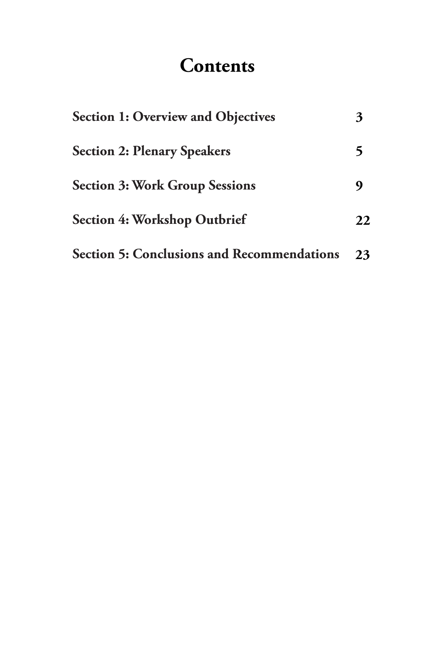# **Contents**

| <b>Section 1: Overview and Objectives</b>                             |    |
|-----------------------------------------------------------------------|----|
| <b>Section 2: Plenary Speakers</b>                                    |    |
| <b>Section 3: Work Group Sessions</b><br>Section 4: Workshop Outbrief | 9  |
|                                                                       | 22 |
| <b>Section 5: Conclusions and Recommendations</b>                     | 23 |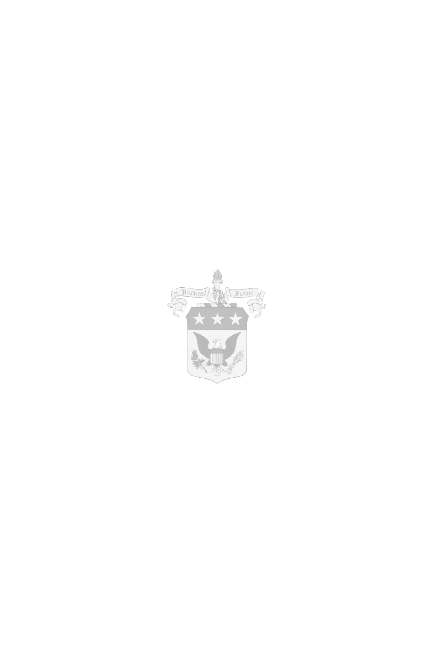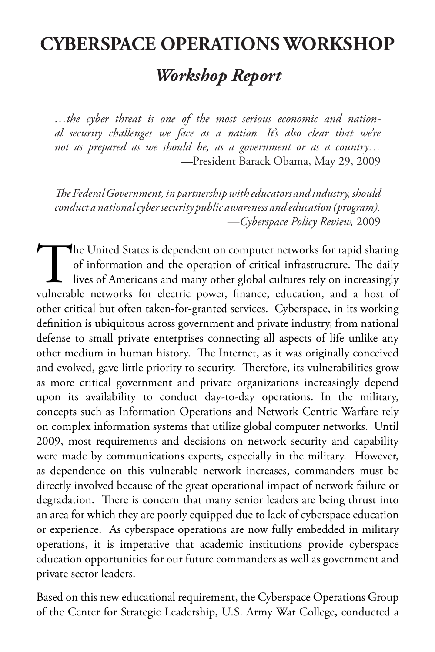## **CYBERSPACE OPERATIONS WORKSHOP**

## *Workshop Report*

*…the cyber threat is one of the most serious economic and national security challenges we face as a nation. It's also clear that we're not as prepared as we should be, as a government or as a country…* —President Barack Obama, May 29, 2009

*The Federal Government, in partnership with educators and industry, should conduct a national cyber security public awareness and education (program).* —*Cyberspace Policy Review,* 2009

The United States is dependent on computer networks for rapid sharing<br>of information and the operation of critical infrastructure. The daily<br>lives of Americans and many other global cultures rely on increasingly<br>vulnerable of information and the operation of critical infrastructure. The daily lives of Americans and many other global cultures rely on increasingly vulnerable networks for electric power, finance, education, and a host of other critical but often taken-for-granted services. Cyberspace, in its working definition is ubiquitous across government and private industry, from national defense to small private enterprises connecting all aspects of life unlike any other medium in human history. The Internet, as it was originally conceived and evolved, gave little priority to security. Therefore, its vulnerabilities grow as more critical government and private organizations increasingly depend upon its availability to conduct day-to-day operations. In the military, concepts such as Information Operations and Network Centric Warfare rely on complex information systems that utilize global computer networks. Until 2009, most requirements and decisions on network security and capability were made by communications experts, especially in the military. However, as dependence on this vulnerable network increases, commanders must be directly involved because of the great operational impact of network failure or degradation. There is concern that many senior leaders are being thrust into an area for which they are poorly equipped due to lack of cyberspace education or experience. As cyberspace operations are now fully embedded in military operations, it is imperative that academic institutions provide cyberspace education opportunities for our future commanders as well as government and private sector leaders.

Based on this new educational requirement, the Cyberspace Operations Group of the Center for Strategic Leadership, U.S. Army War College, conducted a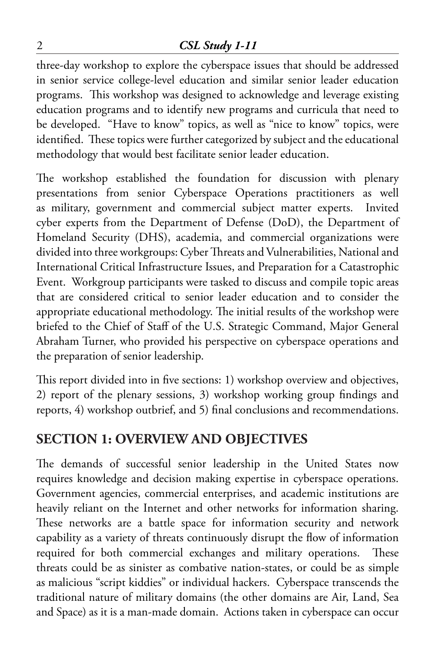three-day workshop to explore the cyberspace issues that should be addressed in senior service college-level education and similar senior leader education programs. This workshop was designed to acknowledge and leverage existing education programs and to identify new programs and curricula that need to be developed. "Have to know" topics, as well as "nice to know" topics, were identified. These topics were further categorized by subject and the educational methodology that would best facilitate senior leader education.

The workshop established the foundation for discussion with plenary presentations from senior Cyberspace Operations practitioners as well as military, government and commercial subject matter experts. Invited cyber experts from the Department of Defense (DoD), the Department of Homeland Security (DHS), academia, and commercial organizations were divided into three workgroups: Cyber Threats and Vulnerabilities, National and International Critical Infrastructure Issues, and Preparation for a Catastrophic Event. Workgroup participants were tasked to discuss and compile topic areas that are considered critical to senior leader education and to consider the appropriate educational methodology. The initial results of the workshop were briefed to the Chief of Staff of the U.S. Strategic Command, Major General Abraham Turner, who provided his perspective on cyberspace operations and the preparation of senior leadership.

This report divided into in five sections: 1) workshop overview and objectives, 2) report of the plenary sessions, 3) workshop working group findings and reports, 4) workshop outbrief, and 5) final conclusions and recommendations.

### **SECTION 1: OVERVIEW AND OBJECTIVES**

The demands of successful senior leadership in the United States now requires knowledge and decision making expertise in cyberspace operations. Government agencies, commercial enterprises, and academic institutions are heavily reliant on the Internet and other networks for information sharing. These networks are a battle space for information security and network capability as a variety of threats continuously disrupt the flow of information required for both commercial exchanges and military operations. These threats could be as sinister as combative nation-states, or could be as simple as malicious "script kiddies" or individual hackers. Cyberspace transcends the traditional nature of military domains (the other domains are Air, Land, Sea and Space) as it is a man-made domain. Actions taken in cyberspace can occur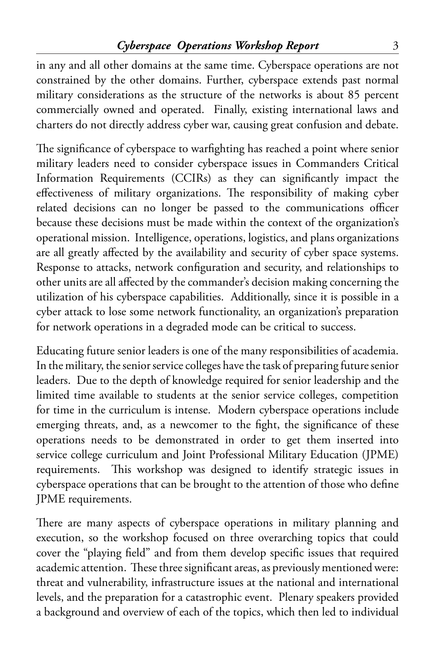in any and all other domains at the same time. Cyberspace operations are not constrained by the other domains. Further, cyberspace extends past normal military considerations as the structure of the networks is about 85 percent commercially owned and operated. Finally, existing international laws and charters do not directly address cyber war, causing great confusion and debate.

The significance of cyberspace to warfighting has reached a point where senior military leaders need to consider cyberspace issues in Commanders Critical Information Requirements (CCIRs) as they can significantly impact the effectiveness of military organizations. The responsibility of making cyber related decisions can no longer be passed to the communications officer because these decisions must be made within the context of the organization's operational mission. Intelligence, operations, logistics, and plans organizations are all greatly affected by the availability and security of cyber space systems. Response to attacks, network configuration and security, and relationships to other units are all affected by the commander's decision making concerning the utilization of his cyberspace capabilities. Additionally, since it is possible in a cyber attack to lose some network functionality, an organization's preparation for network operations in a degraded mode can be critical to success.

Educating future senior leaders is one of the many responsibilities of academia. In the military, the senior service colleges have the task of preparing future senior leaders. Due to the depth of knowledge required for senior leadership and the limited time available to students at the senior service colleges, competition for time in the curriculum is intense. Modern cyberspace operations include emerging threats, and, as a newcomer to the fight, the significance of these operations needs to be demonstrated in order to get them inserted into service college curriculum and Joint Professional Military Education (JPME) requirements. This workshop was designed to identify strategic issues in cyberspace operations that can be brought to the attention of those who define JPME requirements.

There are many aspects of cyberspace operations in military planning and execution, so the workshop focused on three overarching topics that could cover the "playing field" and from them develop specific issues that required academic attention. These three significant areas, as previously mentioned were: threat and vulnerability, infrastructure issues at the national and international levels, and the preparation for a catastrophic event. Plenary speakers provided a background and overview of each of the topics, which then led to individual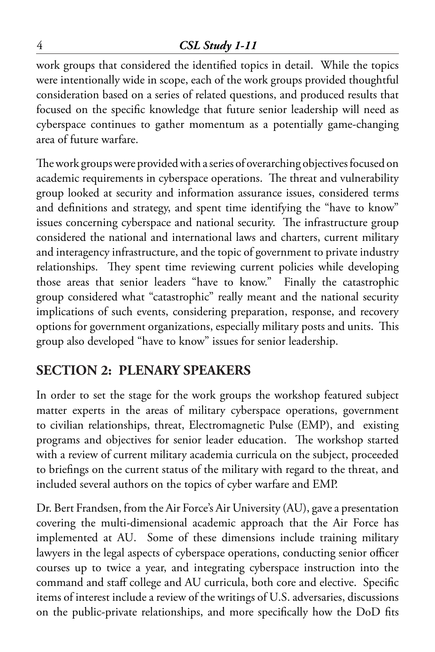work groups that considered the identified topics in detail. While the topics were intentionally wide in scope, each of the work groups provided thoughtful consideration based on a series of related questions, and produced results that focused on the specific knowledge that future senior leadership will need as cyberspace continues to gather momentum as a potentially game-changing area of future warfare.

The work groups were provided with a series of overarching objectives focused on academic requirements in cyberspace operations. The threat and vulnerability group looked at security and information assurance issues, considered terms and definitions and strategy, and spent time identifying the "have to know" issues concerning cyberspace and national security. The infrastructure group considered the national and international laws and charters, current military and interagency infrastructure, and the topic of government to private industry relationships. They spent time reviewing current policies while developing those areas that senior leaders "have to know." Finally the catastrophic group considered what "catastrophic" really meant and the national security implications of such events, considering preparation, response, and recovery options for government organizations, especially military posts and units. This group also developed "have to know" issues for senior leadership.

### **SECTION 2: PLENARY SPEAKERS**

In order to set the stage for the work groups the workshop featured subject matter experts in the areas of military cyberspace operations, government to civilian relationships, threat, Electromagnetic Pulse (EMP), and existing programs and objectives for senior leader education. The workshop started with a review of current military academia curricula on the subject, proceeded to briefings on the current status of the military with regard to the threat, and included several authors on the topics of cyber warfare and EMP.

Dr. Bert Frandsen, from the Air Force's Air University (AU), gave a presentation covering the multi-dimensional academic approach that the Air Force has implemented at AU. Some of these dimensions include training military lawyers in the legal aspects of cyberspace operations, conducting senior officer courses up to twice a year, and integrating cyberspace instruction into the command and staff college and AU curricula, both core and elective. Specific items of interest include a review of the writings of U.S. adversaries, discussions on the public-private relationships, and more specifically how the DoD fits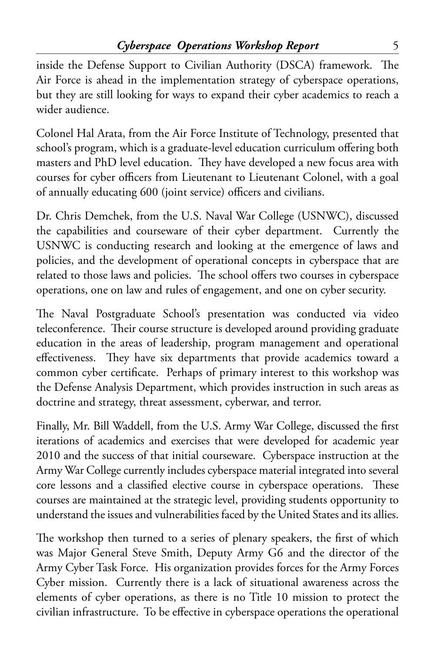inside the Defense Support to Civilian Authority (DSCA) framework. The Air Force is ahead in the implementation strategy of cyberspace operations, but they are still looking for ways to expand their cyber academics to reach a wider audience.

Colonel Hal Arata, from the Air Force Institute of Technology, presented that school's program, which is a graduate-level education curriculum offering both masters and PhD level education. They have developed a new focus area with courses for cyber officers from Lieutenant to Lieutenant Colonel, with a goal of annually educating 600 (joint service) officers and civilians.

Dr. Chris Demchek, from the U.S. Naval War College (USNWC), discussed the capabilities and courseware of their cyber department. Currently the USNWC is conducting research and looking at the emergence of laws and policies, and the development of operational concepts in cyberspace that are related to those laws and policies. The school offers two courses in cyberspace operations, one on law and rules of engagement, and one on cyber security.

The Naval Postgraduate School's presentation was conducted via video teleconference. Their course structure is developed around providing graduate education in the areas of leadership, program management and operational effectiveness. They have six departments that provide academics toward a common cyber certificate. Perhaps of primary interest to this workshop was the Defense Analysis Department, which provides instruction in such areas as doctrine and strategy, threat assessment, cyberwar, and terror.

Finally, Mr. Bill Waddell, from the U.S. Army War College, discussed the first iterations of academics and exercises that were developed for academic year 2010 and the success of that initial courseware. Cyberspace instruction at the Army War College currently includes cyberspace material integrated into several core lessons and a classified elective course in cyberspace operations. These courses are maintained at the strategic level, providing students opportunity to understand the issues and vulnerabilities faced by the United States and its allies.

The workshop then turned to a series of plenary speakers, the first of which was Major General Steve Smith, Deputy Army G6 and the director of the Army Cyber Task Force. His organization provides forces for the Army Forces Cyber mission. Currently there is a lack of situational awareness across the elements of cyber operations, as there is no Title 10 mission to protect the civilian infrastructure. To be effective in cyberspace operations the operational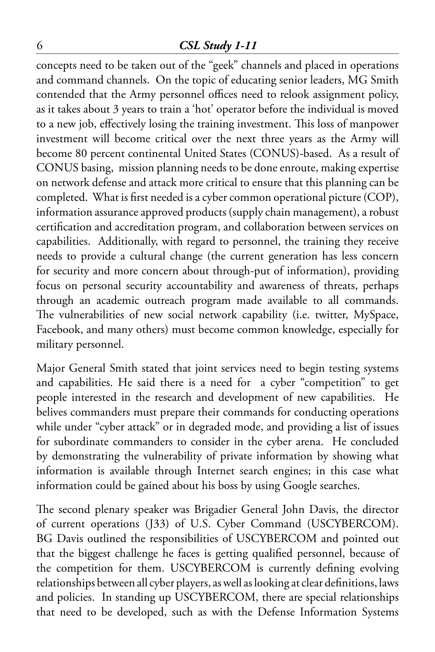concepts need to be taken out of the "geek" channels and placed in operations and command channels. On the topic of educating senior leaders, MG Smith contended that the Army personnel offices need to relook assignment policy, as it takes about 3 years to train a 'hot' operator before the individual is moved to a new job, effectively losing the training investment. This loss of manpower investment will become critical over the next three years as the Army will become 80 percent continental United States (CONUS)-based. As a result of CONUS basing, mission planning needs to be done enroute, making expertise on network defense and attack more critical to ensure that this planning can be completed. What is first needed is a cyber common operational picture (COP), information assurance approved products (supply chain management), a robust certification and accreditation program, and collaboration between services on capabilities. Additionally, with regard to personnel, the training they receive needs to provide a cultural change (the current generation has less concern for security and more concern about through-put of information), providing focus on personal security accountability and awareness of threats, perhaps through an academic outreach program made available to all commands. The vulnerabilities of new social network capability (i.e. twitter, MySpace, Facebook, and many others) must become common knowledge, especially for military personnel.

Major General Smith stated that joint services need to begin testing systems and capabilities. He said there is a need for a cyber "competition" to get people interested in the research and development of new capabilities. He belives commanders must prepare their commands for conducting operations while under "cyber attack" or in degraded mode, and providing a list of issues for subordinate commanders to consider in the cyber arena. He concluded by demonstrating the vulnerability of private information by showing what information is available through Internet search engines; in this case what information could be gained about his boss by using Google searches.

The second plenary speaker was Brigadier General John Davis, the director of current operations (J33) of U.S. Cyber Command (USCYBERCOM). BG Davis outlined the responsibilities of USCYBERCOM and pointed out that the biggest challenge he faces is getting qualified personnel, because of the competition for them. USCYBERCOM is currently defining evolving relationships between all cyber players, as well as looking at clear definitions, laws and policies. In standing up USCYBERCOM, there are special relationships that need to be developed, such as with the Defense Information Systems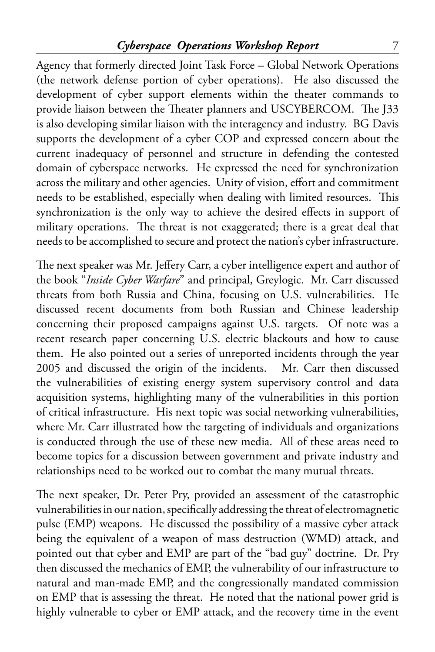Agency that formerly directed Joint Task Force – Global Network Operations (the network defense portion of cyber operations). He also discussed the development of cyber support elements within the theater commands to provide liaison between the Theater planners and USCYBERCOM. The J33 is also developing similar liaison with the interagency and industry. BG Davis supports the development of a cyber COP and expressed concern about the current inadequacy of personnel and structure in defending the contested domain of cyberspace networks. He expressed the need for synchronization across the military and other agencies. Unity of vision, effort and commitment needs to be established, especially when dealing with limited resources. This synchronization is the only way to achieve the desired effects in support of military operations. The threat is not exaggerated; there is a great deal that needs to be accomplished to secure and protect the nation's cyber infrastructure.

The next speaker was Mr. Jeffery Carr, a cyber intelligence expert and author of the book "*Inside Cyber Warfare*" and principal, Greylogic. Mr. Carr discussed threats from both Russia and China, focusing on U.S. vulnerabilities. He discussed recent documents from both Russian and Chinese leadership concerning their proposed campaigns against U.S. targets. Of note was a recent research paper concerning U.S. electric blackouts and how to cause them. He also pointed out a series of unreported incidents through the year 2005 and discussed the origin of the incidents. Mr. Carr then discussed the vulnerabilities of existing energy system supervisory control and data acquisition systems, highlighting many of the vulnerabilities in this portion of critical infrastructure. His next topic was social networking vulnerabilities, where Mr. Carr illustrated how the targeting of individuals and organizations is conducted through the use of these new media. All of these areas need to become topics for a discussion between government and private industry and relationships need to be worked out to combat the many mutual threats.

The next speaker, Dr. Peter Pry, provided an assessment of the catastrophic vulnerabilities in our nation, specifically addressing the threat of electromagnetic pulse (EMP) weapons. He discussed the possibility of a massive cyber attack being the equivalent of a weapon of mass destruction (WMD) attack, and pointed out that cyber and EMP are part of the "bad guy" doctrine. Dr. Pry then discussed the mechanics of EMP, the vulnerability of our infrastructure to natural and man-made EMP, and the congressionally mandated commission on EMP that is assessing the threat. He noted that the national power grid is highly vulnerable to cyber or EMP attack, and the recovery time in the event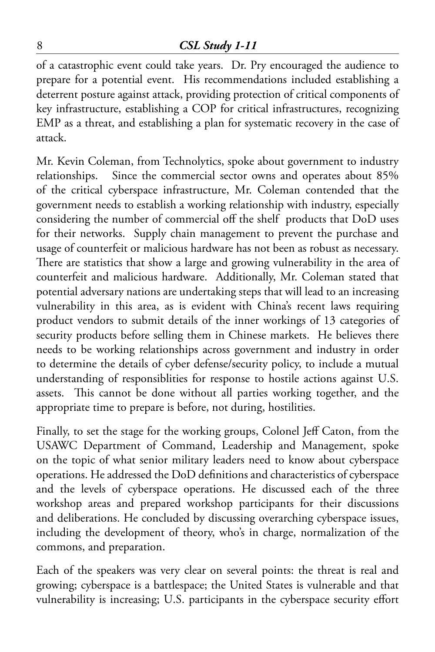of a catastrophic event could take years. Dr. Pry encouraged the audience to prepare for a potential event. His recommendations included establishing a deterrent posture against attack, providing protection of critical components of key infrastructure, establishing a COP for critical infrastructures, recognizing EMP as a threat, and establishing a plan for systematic recovery in the case of attack.

Mr. Kevin Coleman, from Technolytics, spoke about government to industry relationships. Since the commercial sector owns and operates about 85% of the critical cyberspace infrastructure, Mr. Coleman contended that the government needs to establish a working relationship with industry, especially considering the number of commercial off the shelf products that DoD uses for their networks. Supply chain management to prevent the purchase and usage of counterfeit or malicious hardware has not been as robust as necessary. There are statistics that show a large and growing vulnerability in the area of counterfeit and malicious hardware. Additionally, Mr. Coleman stated that potential adversary nations are undertaking steps that will lead to an increasing vulnerability in this area, as is evident with China's recent laws requiring product vendors to submit details of the inner workings of 13 categories of security products before selling them in Chinese markets. He believes there needs to be working relationships across government and industry in order to determine the details of cyber defense/security policy, to include a mutual understanding of responsiblities for response to hostile actions against U.S. assets. This cannot be done without all parties working together, and the appropriate time to prepare is before, not during, hostilities.

Finally, to set the stage for the working groups, Colonel Jeff Caton, from the USAWC Department of Command, Leadership and Management, spoke on the topic of what senior military leaders need to know about cyberspace operations. He addressed the DoD definitions and characteristics of cyberspace and the levels of cyberspace operations. He discussed each of the three workshop areas and prepared workshop participants for their discussions and deliberations. He concluded by discussing overarching cyberspace issues, including the development of theory, who's in charge, normalization of the commons, and preparation.

Each of the speakers was very clear on several points: the threat is real and growing; cyberspace is a battlespace; the United States is vulnerable and that vulnerability is increasing; U.S. participants in the cyberspace security effort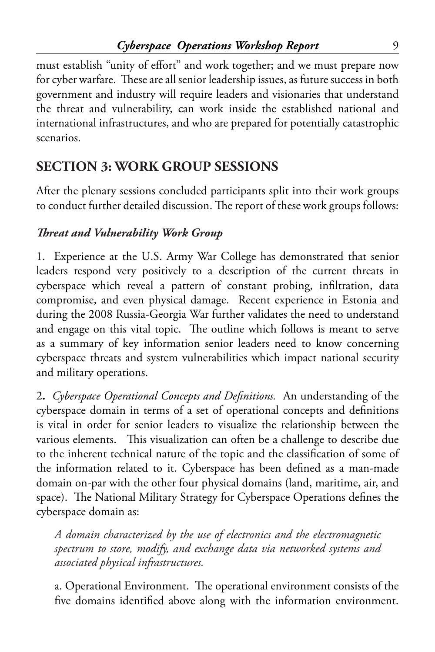must establish "unity of effort" and work together; and we must prepare now for cyber warfare. These are all senior leadership issues, as future success in both government and industry will require leaders and visionaries that understand the threat and vulnerability, can work inside the established national and international infrastructures, and who are prepared for potentially catastrophic scenarios.

## **SECTION 3: WORK GROUP SESSIONS**

After the plenary sessions concluded participants split into their work groups to conduct further detailed discussion. The report of these work groups follows:

#### *Threat and Vulnerability Work Group*

1. Experience at the U.S. Army War College has demonstrated that senior leaders respond very positively to a description of the current threats in cyberspace which reveal a pattern of constant probing, infiltration, data compromise, and even physical damage. Recent experience in Estonia and during the 2008 Russia-Georgia War further validates the need to understand and engage on this vital topic. The outline which follows is meant to serve as a summary of key information senior leaders need to know concerning cyberspace threats and system vulnerabilities which impact national security and military operations.

2**.** *Cyberspace Operational Concepts and Definitions.* An understanding of the cyberspace domain in terms of a set of operational concepts and definitions is vital in order for senior leaders to visualize the relationship between the various elements. This visualization can often be a challenge to describe due to the inherent technical nature of the topic and the classification of some of the information related to it. Cyberspace has been defined as a man-made domain on-par with the other four physical domains (land, maritime, air, and space). The National Military Strategy for Cyberspace Operations defines the cyberspace domain as:

*A domain characterized by the use of electronics and the electromagnetic spectrum to store, modify, and exchange data via networked systems and associated physical infrastructures.*

a. Operational Environment. The operational environment consists of the five domains identified above along with the information environment.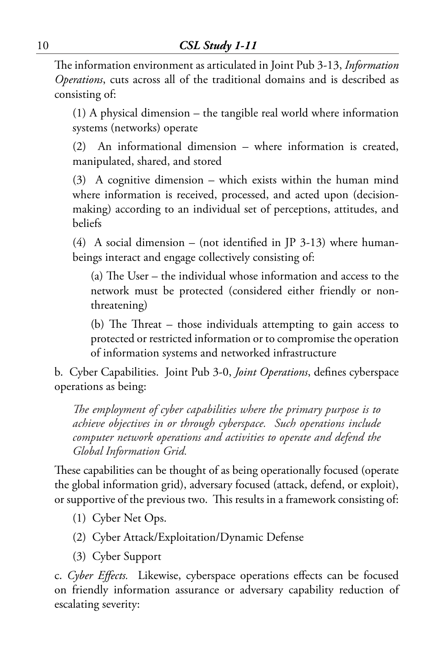The information environment as articulated in Joint Pub 3-13, *Information Operations*, cuts across all of the traditional domains and is described as consisting of:

(1) A physical dimension – the tangible real world where information systems (networks) operate

(2) An informational dimension – where information is created, manipulated, shared, and stored

(3) A cognitive dimension – which exists within the human mind where information is received, processed, and acted upon (decisionmaking) according to an individual set of perceptions, attitudes, and beliefs

(4) A social dimension – (not identified in JP 3-13) where humanbeings interact and engage collectively consisting of:

(a) The User – the individual whose information and access to the network must be protected (considered either friendly or nonthreatening)

(b) The Threat – those individuals attempting to gain access to protected or restricted information or to compromise the operation of information systems and networked infrastructure

b. Cyber Capabilities. Joint Pub 3-0, *Joint Operations*, defines cyberspace operations as being:

*The employment of cyber capabilities where the primary purpose is to achieve objectives in or through cyberspace. Such operations include computer network operations and activities to operate and defend the Global Information Grid.*

These capabilities can be thought of as being operationally focused (operate the global information grid), adversary focused (attack, defend, or exploit), or supportive of the previous two. This results in a framework consisting of:

- (1) Cyber Net Ops.
- (2) Cyber Attack/Exploitation/Dynamic Defense
- (3) Cyber Support

c. *Cyber Effects.* Likewise, cyberspace operations effects can be focused on friendly information assurance or adversary capability reduction of escalating severity: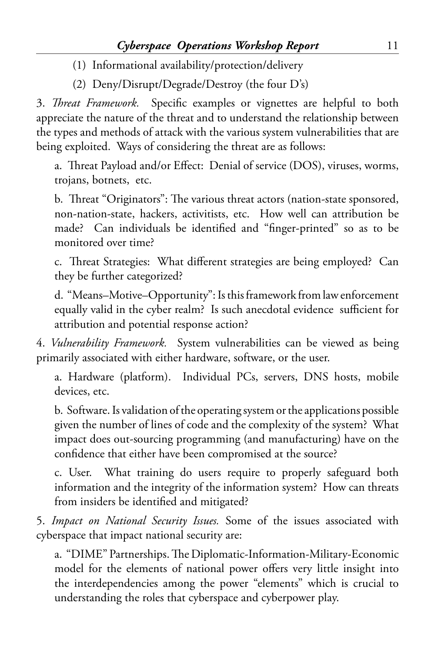(1) Informational availability/protection/delivery

(2) Deny/Disrupt/Degrade/Destroy (the four D's)

3. *Threat Framework.* Specific examples or vignettes are helpful to both appreciate the nature of the threat and to understand the relationship between the types and methods of attack with the various system vulnerabilities that are being exploited. Ways of considering the threat are as follows:

a. Threat Payload and/or Effect: Denial of service (DOS), viruses, worms, trojans, botnets, etc.

b. Threat "Originators": The various threat actors (nation-state sponsored, non-nation-state, hackers, activitists, etc. How well can attribution be made? Can individuals be identified and "finger-printed" so as to be monitored over time?

c. Threat Strategies: What different strategies are being employed? Can they be further categorized?

d. "Means–Motive–Opportunity": Is this framework from law enforcement equally valid in the cyber realm? Is such anecdotal evidence sufficient for attribution and potential response action?

4. *Vulnerability Framework.* System vulnerabilities can be viewed as being primarily associated with either hardware, software, or the user.

a. Hardware (platform). Individual PCs, servers, DNS hosts, mobile devices, etc.

b. Software. Is validation of the operating system or the applications possible given the number of lines of code and the complexity of the system? What impact does out-sourcing programming (and manufacturing) have on the confidence that either have been compromised at the source?

c. User. What training do users require to properly safeguard both information and the integrity of the information system? How can threats from insiders be identified and mitigated?

5. *Impact on National Security Issues.* Some of the issues associated with cyberspace that impact national security are:

a. "DIME" Partnerships. The Diplomatic-Information-Military-Economic model for the elements of national power offers very little insight into the interdependencies among the power "elements" which is crucial to understanding the roles that cyberspace and cyberpower play.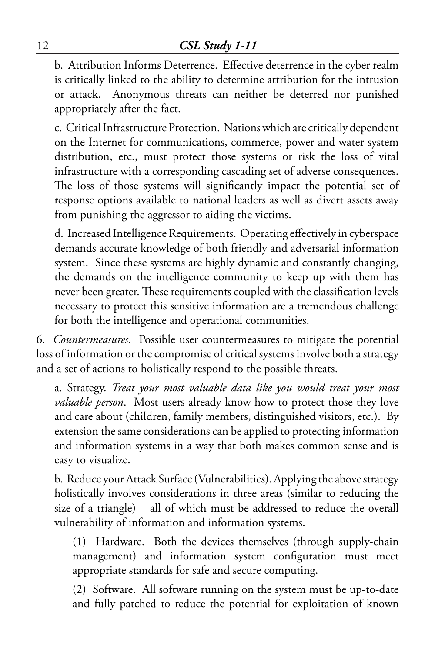b. Attribution Informs Deterrence. Effective deterrence in the cyber realm is critically linked to the ability to determine attribution for the intrusion or attack. Anonymous threats can neither be deterred nor punished appropriately after the fact.

c. Critical Infrastructure Protection. Nations which are critically dependent on the Internet for communications, commerce, power and water system distribution, etc., must protect those systems or risk the loss of vital infrastructure with a corresponding cascading set of adverse consequences. The loss of those systems will significantly impact the potential set of response options available to national leaders as well as divert assets away from punishing the aggressor to aiding the victims.

d. Increased Intelligence Requirements. Operating effectively in cyberspace demands accurate knowledge of both friendly and adversarial information system. Since these systems are highly dynamic and constantly changing, the demands on the intelligence community to keep up with them has never been greater. These requirements coupled with the classification levels necessary to protect this sensitive information are a tremendous challenge for both the intelligence and operational communities.

6. *Countermeasures.* Possible user countermeasures to mitigate the potential loss of information or the compromise of critical systems involve both a strategy and a set of actions to holistically respond to the possible threats.

a. Strategy. *Treat your most valuable data like you would treat your most valuable person*. Most users already know how to protect those they love and care about (children, family members, distinguished visitors, etc.). By extension the same considerations can be applied to protecting information and information systems in a way that both makes common sense and is easy to visualize.

b. Reduce your Attack Surface (Vulnerabilities). Applying the above strategy holistically involves considerations in three areas (similar to reducing the size of a triangle) – all of which must be addressed to reduce the overall vulnerability of information and information systems.

(1) Hardware. Both the devices themselves (through supply-chain management) and information system configuration must meet appropriate standards for safe and secure computing.

(2) Software. All software running on the system must be up-to-date and fully patched to reduce the potential for exploitation of known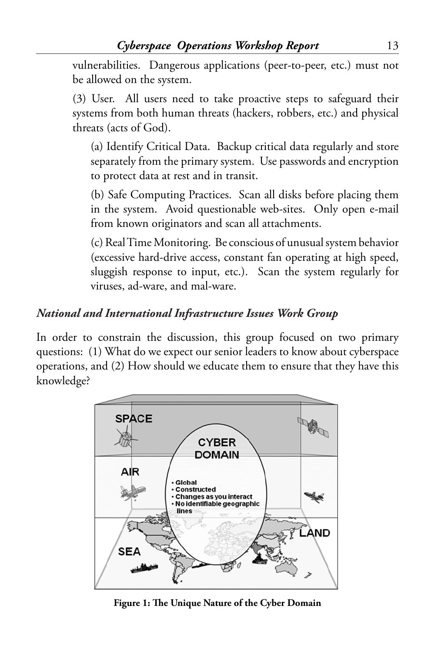vulnerabilities. Dangerous applications (peer-to-peer, etc.) must not be allowed on the system.

(3) User. All users need to take proactive steps to safeguard their systems from both human threats (hackers, robbers, etc.) and physical threats (acts of God).

(a) Identify Critical Data. Backup critical data regularly and store separately from the primary system. Use passwords and encryption to protect data at rest and in transit.

(b) Safe Computing Practices. Scan all disks before placing them in the system. Avoid questionable web-sites. Only open e-mail from known originators and scan all attachments.

(c) Real Time Monitoring. Be conscious of unusual system behavior (excessive hard-drive access, constant fan operating at high speed, sluggish response to input, etc.). Scan the system regularly for viruses, ad-ware, and mal-ware.

#### *National and International Infrastructure Issues Work Group*

In order to constrain the discussion, this group focused on two primary questions: (1) What do we expect our senior leaders to know about cyberspace operations, and (2) How should we educate them to ensure that they have this knowledge?



**Figure 1: The Unique Nature of the Cyber Domain**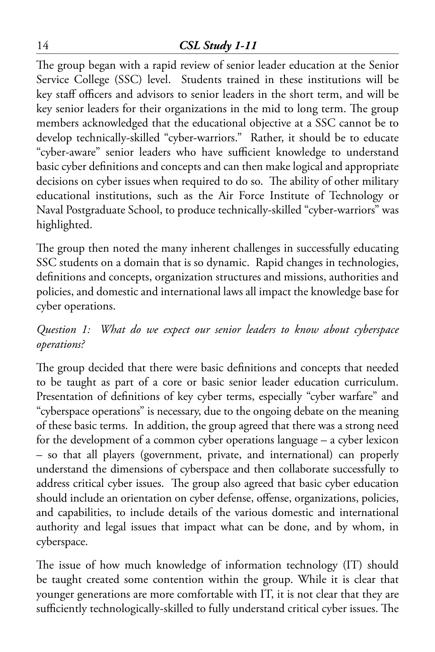#### 14 *CSL Study 1-11*

The group began with a rapid review of senior leader education at the Senior Service College (SSC) level. Students trained in these institutions will be key staff officers and advisors to senior leaders in the short term, and will be key senior leaders for their organizations in the mid to long term. The group members acknowledged that the educational objective at a SSC cannot be to develop technically-skilled "cyber-warriors." Rather, it should be to educate "cyber-aware" senior leaders who have sufficient knowledge to understand basic cyber definitions and concepts and can then make logical and appropriate decisions on cyber issues when required to do so. The ability of other military educational institutions, such as the Air Force Institute of Technology or Naval Postgraduate School, to produce technically-skilled "cyber-warriors" was highlighted.

The group then noted the many inherent challenges in successfully educating SSC students on a domain that is so dynamic. Rapid changes in technologies, definitions and concepts, organization structures and missions, authorities and policies, and domestic and international laws all impact the knowledge base for cyber operations.

#### *Question 1: What do we expect our senior leaders to know about cyberspace operations?*

The group decided that there were basic definitions and concepts that needed to be taught as part of a core or basic senior leader education curriculum. Presentation of definitions of key cyber terms, especially "cyber warfare" and "cyberspace operations" is necessary, due to the ongoing debate on the meaning of these basic terms. In addition, the group agreed that there was a strong need for the development of a common cyber operations language – a cyber lexicon – so that all players (government, private, and international) can properly understand the dimensions of cyberspace and then collaborate successfully to address critical cyber issues. The group also agreed that basic cyber education should include an orientation on cyber defense, offense, organizations, policies, and capabilities, to include details of the various domestic and international authority and legal issues that impact what can be done, and by whom, in cyberspace.

The issue of how much knowledge of information technology (IT) should be taught created some contention within the group. While it is clear that younger generations are more comfortable with IT, it is not clear that they are sufficiently technologically-skilled to fully understand critical cyber issues. The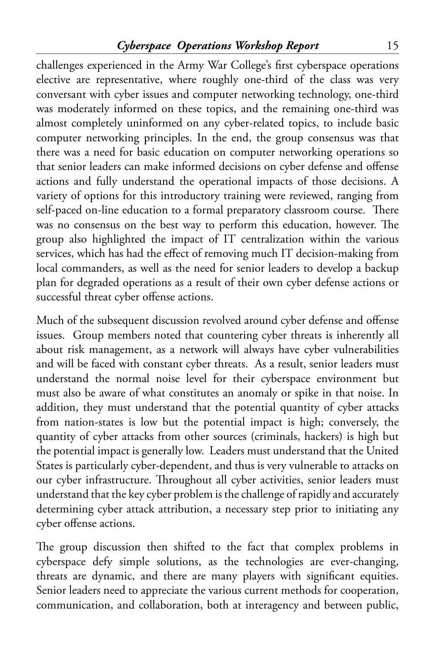challenges experienced in the Army War College's first cyberspace operations elective are representative, where roughly one-third of the class was very conversant with cyber issues and computer networking technology, one-third was moderately informed on these topics, and the remaining one-third was almost completely uninformed on any cyber-related topics, to include basic computer networking principles. In the end, the group consensus was that there was a need for basic education on computer networking operations so that senior leaders can make informed decisions on cyber defense and offense actions and fully understand the operational impacts of those decisions. A variety of options for this introductory training were reviewed, ranging from self-paced on-line education to a formal preparatory classroom course. There was no consensus on the best way to perform this education, however. The group also highlighted the impact of IT centralization within the various services, which has had the effect of removing much IT decision-making from local commanders, as well as the need for senior leaders to develop a backup plan for degraded operations as a result of their own cyber defense actions or successful threat cyber offense actions.

Much of the subsequent discussion revolved around cyber defense and offense issues. Group members noted that countering cyber threats is inherently all about risk management, as a network will always have cyber vulnerabilities and will be faced with constant cyber threats. As a result, senior leaders must understand the normal noise level for their cyberspace environment but must also be aware of what constitutes an anomaly or spike in that noise. In addition, they must understand that the potential quantity of cyber attacks from nation-states is low but the potential impact is high; conversely, the quantity of cyber attacks from other sources (criminals, hackers) is high but the potential impact is generally low. Leaders must understand that the United States is particularly cyber-dependent, and thus is very vulnerable to attacks on our cyber infrastructure. Throughout all cyber activities, senior leaders must understand that the key cyber problem is the challenge of rapidly and accurately determining cyber attack attribution, a necessary step prior to initiating any cyber offense actions.

The group discussion then shifted to the fact that complex problems in cyberspace defy simple solutions, as the technologies are ever-changing, threats are dynamic, and there are many players with significant equities. Senior leaders need to appreciate the various current methods for cooperation, communication, and collaboration, both at interagency and between public,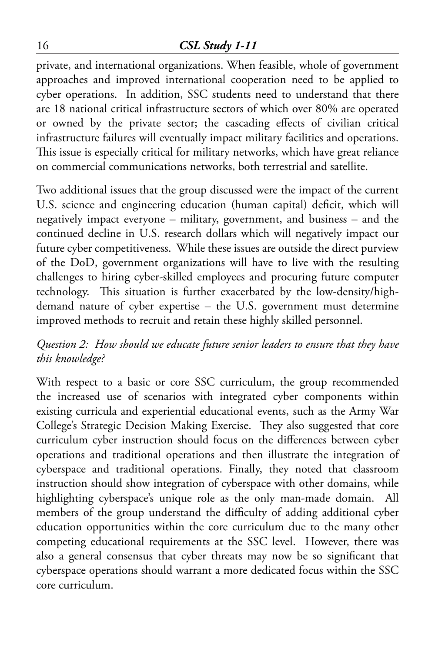private, and international organizations. When feasible, whole of government approaches and improved international cooperation need to be applied to cyber operations. In addition, SSC students need to understand that there are 18 national critical infrastructure sectors of which over 80% are operated or owned by the private sector; the cascading effects of civilian critical infrastructure failures will eventually impact military facilities and operations. This issue is especially critical for military networks, which have great reliance on commercial communications networks, both terrestrial and satellite.

Two additional issues that the group discussed were the impact of the current U.S. science and engineering education (human capital) deficit, which will negatively impact everyone – military, government, and business – and the continued decline in U.S. research dollars which will negatively impact our future cyber competitiveness. While these issues are outside the direct purview of the DoD, government organizations will have to live with the resulting challenges to hiring cyber-skilled employees and procuring future computer technology. This situation is further exacerbated by the low-density/highdemand nature of cyber expertise – the U.S. government must determine improved methods to recruit and retain these highly skilled personnel.

#### *Question 2: How should we educate future senior leaders to ensure that they have this knowledge?*

With respect to a basic or core SSC curriculum, the group recommended the increased use of scenarios with integrated cyber components within existing curricula and experiential educational events, such as the Army War College's Strategic Decision Making Exercise. They also suggested that core curriculum cyber instruction should focus on the differences between cyber operations and traditional operations and then illustrate the integration of cyberspace and traditional operations. Finally, they noted that classroom instruction should show integration of cyberspace with other domains, while highlighting cyberspace's unique role as the only man-made domain. All members of the group understand the difficulty of adding additional cyber education opportunities within the core curriculum due to the many other competing educational requirements at the SSC level. However, there was also a general consensus that cyber threats may now be so significant that cyberspace operations should warrant a more dedicated focus within the SSC core curriculum.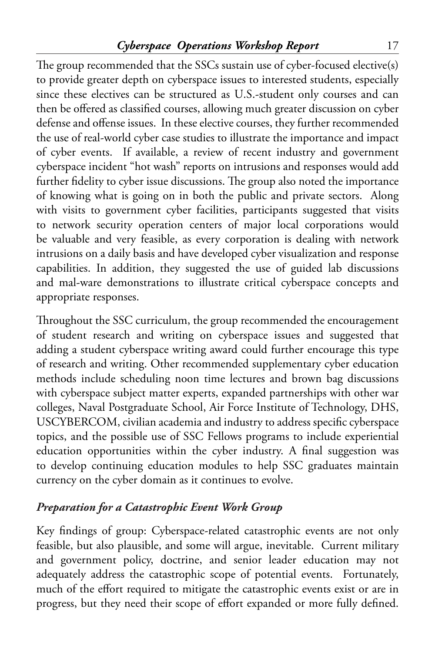The group recommended that the SSCs sustain use of cyber-focused elective(s) to provide greater depth on cyberspace issues to interested students, especially since these electives can be structured as U.S.-student only courses and can then be offered as classified courses, allowing much greater discussion on cyber defense and offense issues. In these elective courses, they further recommended the use of real-world cyber case studies to illustrate the importance and impact of cyber events. If available, a review of recent industry and government cyberspace incident "hot wash" reports on intrusions and responses would add further fidelity to cyber issue discussions. The group also noted the importance of knowing what is going on in both the public and private sectors. Along with visits to government cyber facilities, participants suggested that visits to network security operation centers of major local corporations would be valuable and very feasible, as every corporation is dealing with network intrusions on a daily basis and have developed cyber visualization and response capabilities. In addition, they suggested the use of guided lab discussions and mal-ware demonstrations to illustrate critical cyberspace concepts and appropriate responses.

Throughout the SSC curriculum, the group recommended the encouragement of student research and writing on cyberspace issues and suggested that adding a student cyberspace writing award could further encourage this type of research and writing. Other recommended supplementary cyber education methods include scheduling noon time lectures and brown bag discussions with cyberspace subject matter experts, expanded partnerships with other war colleges, Naval Postgraduate School, Air Force Institute of Technology, DHS, USCYBERCOM, civilian academia and industry to address specific cyberspace topics, and the possible use of SSC Fellows programs to include experiential education opportunities within the cyber industry. A final suggestion was to develop continuing education modules to help SSC graduates maintain currency on the cyber domain as it continues to evolve.

#### *Preparation for a Catastrophic Event Work Group*

Key findings of group: Cyberspace-related catastrophic events are not only feasible, but also plausible, and some will argue, inevitable. Current military and government policy, doctrine, and senior leader education may not adequately address the catastrophic scope of potential events. Fortunately, much of the effort required to mitigate the catastrophic events exist or are in progress, but they need their scope of effort expanded or more fully defined.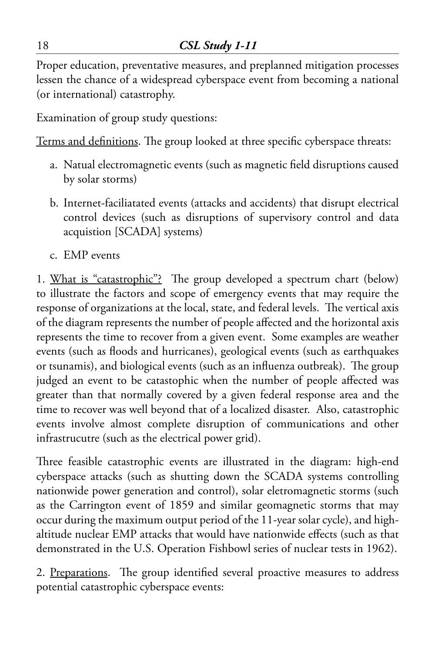Proper education, preventative measures, and preplanned mitigation processes lessen the chance of a widespread cyberspace event from becoming a national (or international) catastrophy.

Examination of group study questions:

Terms and definitions. The group looked at three specific cyberspace threats:

- a. Natual electromagnetic events (such as magnetic field disruptions caused by solar storms)
- b. Internet-faciliatated events (attacks and accidents) that disrupt electrical control devices (such as disruptions of supervisory control and data acquistion [SCADA] systems)
- c. EMP events

1. What is "catastrophic"? The group developed a spectrum chart (below) to illustrate the factors and scope of emergency events that may require the response of organizations at the local, state, and federal levels. The vertical axis of the diagram represents the number of people affected and the horizontal axis represents the time to recover from a given event. Some examples are weather events (such as floods and hurricanes), geological events (such as earthquakes or tsunamis), and biological events (such as an influenza outbreak). The group judged an event to be catastophic when the number of people affected was greater than that normally covered by a given federal response area and the time to recover was well beyond that of a localized disaster. Also, catastrophic events involve almost complete disruption of communications and other infrastrucutre (such as the electrical power grid).

Three feasible catastrophic events are illustrated in the diagram: high-end cyberspace attacks (such as shutting down the SCADA systems controlling nationwide power generation and control), solar eletromagnetic storms (such as the Carrington event of 1859 and similar geomagnetic storms that may occur during the maximum output period of the 11-year solar cycle), and highaltitude nuclear EMP attacks that would have nationwide effects (such as that demonstrated in the U.S. Operation Fishbowl series of nuclear tests in 1962).

2. Preparations. The group identified several proactive measures to address potential catastrophic cyberspace events: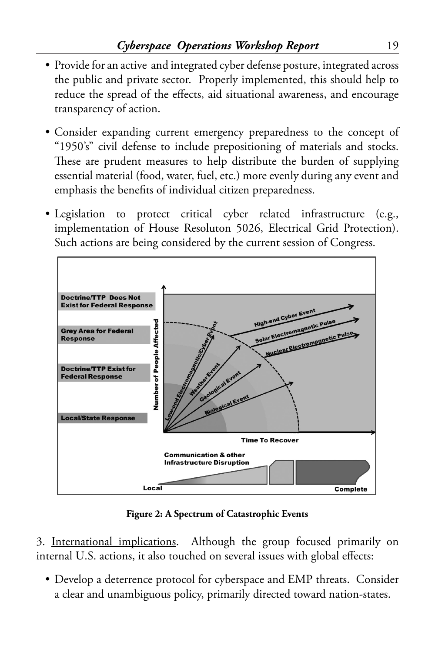- Provide for an active and integrated cyber defense posture, integrated across the public and private sector. Properly implemented, this should help to reduce the spread of the effects, aid situational awareness, and encourage transparency of action.
- Consider expanding current emergency preparedness to the concept of "1950's" civil defense to include prepositioning of materials and stocks. These are prudent measures to help distribute the burden of supplying essential material (food, water, fuel, etc.) more evenly during any event and emphasis the benefits of individual citizen preparedness.
- Legislation to protect critical cyber related infrastructure (e.g., implementation of House Resoluton 5026, Electrical Grid Protection). Such actions are being considered by the current session of Congress.



**Figure 2: A Spectrum of Catastrophic Events**

3. International implications. Although the group focused primarily on internal U.S. actions, it also touched on several issues with global effects:

• Develop a deterrence protocol for cyberspace and EMP threats. Consider a clear and unambiguous policy, primarily directed toward nation-states.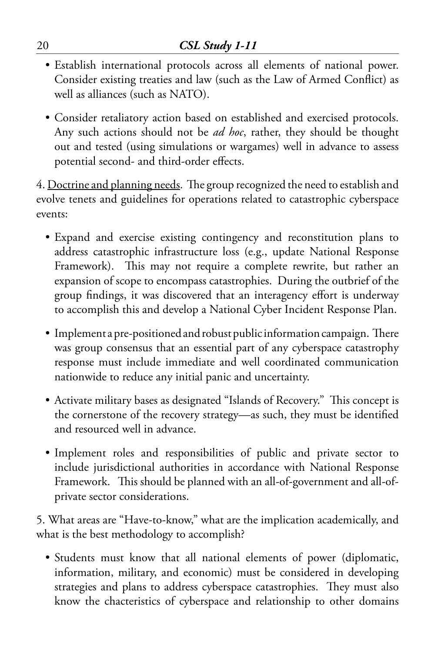- Establish international protocols across all elements of national power. Consider existing treaties and law (such as the Law of Armed Conflict) as well as alliances (such as NATO).
- Consider retaliatory action based on established and exercised protocols. Any such actions should not be *ad hoc*, rather, they should be thought out and tested (using simulations or wargames) well in advance to assess potential second- and third-order effects.

4. Doctrine and planning needs. The group recognized the need to establish and evolve tenets and guidelines for operations related to catastrophic cyberspace events:

- Expand and exercise existing contingency and reconstitution plans to address catastrophic infrastructure loss (e.g., update National Response Framework). This may not require a complete rewrite, but rather an expansion of scope to encompass catastrophies. During the outbrief of the group findings, it was discovered that an interagency effort is underway to accomplish this and develop a National Cyber Incident Response Plan.
- Implement a pre-positioned and robust public information campaign. There was group consensus that an essential part of any cyberspace catastrophy response must include immediate and well coordinated communication nationwide to reduce any initial panic and uncertainty.
- Activate military bases as designated "Islands of Recovery." This concept is the cornerstone of the recovery strategy—as such, they must be identified and resourced well in advance.
- Implement roles and responsibilities of public and private sector to include jurisdictional authorities in accordance with National Response Framework. This should be planned with an all-of-government and all-ofprivate sector considerations.

5. What areas are "Have-to-know," what are the implication academically, and what is the best methodology to accomplish?

• Students must know that all national elements of power (diplomatic, information, military, and economic) must be considered in developing strategies and plans to address cyberspace catastrophies. They must also know the chacteristics of cyberspace and relationship to other domains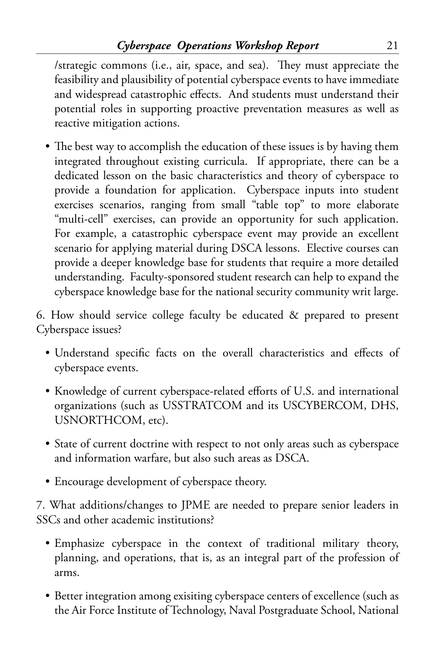/strategic commons (i.e., air, space, and sea). They must appreciate the feasibility and plausibility of potential cyberspace events to have immediate and widespread catastrophic effects. And students must understand their potential roles in supporting proactive preventation measures as well as reactive mitigation actions.

• The best way to accomplish the education of these issues is by having them integrated throughout existing curricula. If appropriate, there can be a dedicated lesson on the basic characteristics and theory of cyberspace to provide a foundation for application. Cyberspace inputs into student exercises scenarios, ranging from small "table top" to more elaborate "multi-cell" exercises, can provide an opportunity for such application. For example, a catastrophic cyberspace event may provide an excellent scenario for applying material during DSCA lessons. Elective courses can provide a deeper knowledge base for students that require a more detailed understanding. Faculty-sponsored student research can help to expand the cyberspace knowledge base for the national security community writ large.

6. How should service college faculty be educated & prepared to present Cyberspace issues?

- Understand specific facts on the overall characteristics and effects of cyberspace events.
- Knowledge of current cyberspace-related efforts of U.S. and international organizations (such as USSTRATCOM and its USCYBERCOM, DHS, USNORTHCOM, etc).
- State of current doctrine with respect to not only areas such as cyberspace and information warfare, but also such areas as DSCA.
- Encourage development of cyberspace theory.

7. What additions/changes to JPME are needed to prepare senior leaders in SSCs and other academic institutions?

- Emphasize cyberspace in the context of traditional military theory, planning, and operations, that is, as an integral part of the profession of arms.
- Better integration among exisiting cyberspace centers of excellence (such as the Air Force Institute of Technology, Naval Postgraduate School, National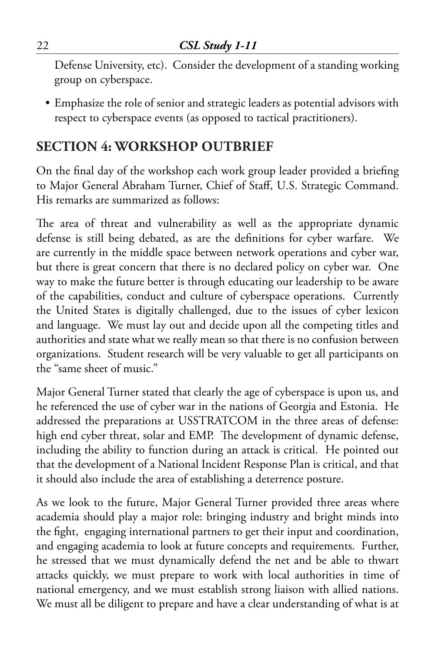Defense University, etc). Consider the development of a standing working group on cyberspace.

• Emphasize the role of senior and strategic leaders as potential advisors with respect to cyberspace events (as opposed to tactical practitioners).

### **SECTION 4: WORKSHOP OUTBRIEF**

On the final day of the workshop each work group leader provided a briefing to Major General Abraham Turner, Chief of Staff, U.S. Strategic Command. His remarks are summarized as follows:

The area of threat and vulnerability as well as the appropriate dynamic defense is still being debated, as are the definitions for cyber warfare. We are currently in the middle space between network operations and cyber war, but there is great concern that there is no declared policy on cyber war. One way to make the future better is through educating our leadership to be aware of the capabilities, conduct and culture of cyberspace operations. Currently the United States is digitally challenged, due to the issues of cyber lexicon and language. We must lay out and decide upon all the competing titles and authorities and state what we really mean so that there is no confusion between organizations. Student research will be very valuable to get all participants on the "same sheet of music."

Major General Turner stated that clearly the age of cyberspace is upon us, and he referenced the use of cyber war in the nations of Georgia and Estonia. He addressed the preparations at USSTRATCOM in the three areas of defense: high end cyber threat, solar and EMP. The development of dynamic defense, including the ability to function during an attack is critical. He pointed out that the development of a National Incident Response Plan is critical, and that it should also include the area of establishing a deterrence posture.

As we look to the future, Major General Turner provided three areas where academia should play a major role: bringing industry and bright minds into the fight, engaging international partners to get their input and coordination, and engaging academia to look at future concepts and requirements. Further, he stressed that we must dynamically defend the net and be able to thwart attacks quickly, we must prepare to work with local authorities in time of national emergency, and we must establish strong liaison with allied nations. We must all be diligent to prepare and have a clear understanding of what is at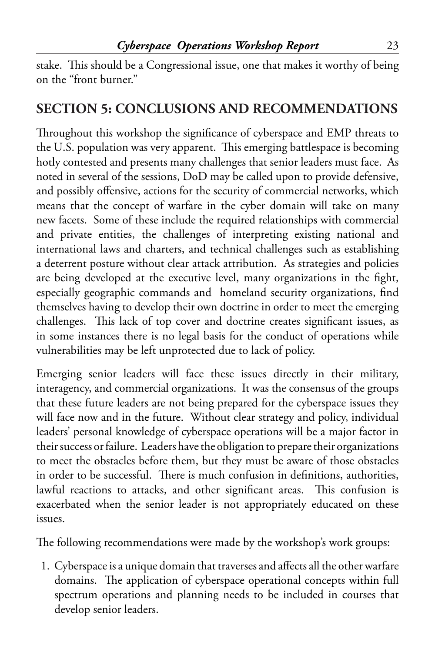stake. This should be a Congressional issue, one that makes it worthy of being on the "front burner."

### **SECTION 5: CONCLUSIONS AND RECOMMENDATIONS**

Throughout this workshop the significance of cyberspace and EMP threats to the U.S. population was very apparent. This emerging battlespace is becoming hotly contested and presents many challenges that senior leaders must face. As noted in several of the sessions, DoD may be called upon to provide defensive, and possibly offensive, actions for the security of commercial networks, which means that the concept of warfare in the cyber domain will take on many new facets. Some of these include the required relationships with commercial and private entities, the challenges of interpreting existing national and international laws and charters, and technical challenges such as establishing a deterrent posture without clear attack attribution. As strategies and policies are being developed at the executive level, many organizations in the fight, especially geographic commands and homeland security organizations, find themselves having to develop their own doctrine in order to meet the emerging challenges. This lack of top cover and doctrine creates significant issues, as in some instances there is no legal basis for the conduct of operations while vulnerabilities may be left unprotected due to lack of policy.

Emerging senior leaders will face these issues directly in their military, interagency, and commercial organizations. It was the consensus of the groups that these future leaders are not being prepared for the cyberspace issues they will face now and in the future. Without clear strategy and policy, individual leaders' personal knowledge of cyberspace operations will be a major factor in their success or failure. Leaders have the obligation to prepare their organizations to meet the obstacles before them, but they must be aware of those obstacles in order to be successful. There is much confusion in definitions, authorities, lawful reactions to attacks, and other significant areas. This confusion is exacerbated when the senior leader is not appropriately educated on these issues.

The following recommendations were made by the workshop's work groups:

1. Cyberspace is a unique domain that traverses and affects all the other warfare domains. The application of cyberspace operational concepts within full spectrum operations and planning needs to be included in courses that develop senior leaders.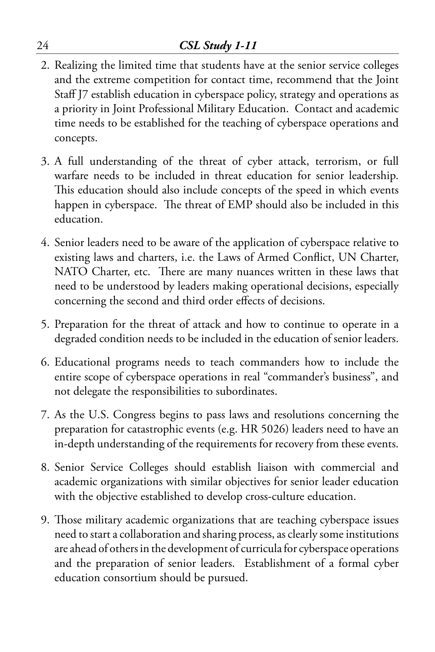- 2. Realizing the limited time that students have at the senior service colleges and the extreme competition for contact time, recommend that the Joint Staff J7 establish education in cyberspace policy, strategy and operations as a priority in Joint Professional Military Education. Contact and academic time needs to be established for the teaching of cyberspace operations and concepts.
- 3. A full understanding of the threat of cyber attack, terrorism, or full warfare needs to be included in threat education for senior leadership. This education should also include concepts of the speed in which events happen in cyberspace. The threat of EMP should also be included in this education.
- 4. Senior leaders need to be aware of the application of cyberspace relative to existing laws and charters, i.e. the Laws of Armed Conflict, UN Charter, NATO Charter, etc. There are many nuances written in these laws that need to be understood by leaders making operational decisions, especially concerning the second and third order effects of decisions.
- 5. Preparation for the threat of attack and how to continue to operate in a degraded condition needs to be included in the education of senior leaders.
- 6. Educational programs needs to teach commanders how to include the entire scope of cyberspace operations in real "commander's business", and not delegate the responsibilities to subordinates.
- 7. As the U.S. Congress begins to pass laws and resolutions concerning the preparation for catastrophic events (e.g. HR 5026) leaders need to have an in-depth understanding of the requirements for recovery from these events.
- 8. Senior Service Colleges should establish liaison with commercial and academic organizations with similar objectives for senior leader education with the objective established to develop cross-culture education.
- 9. Those military academic organizations that are teaching cyberspace issues need to start a collaboration and sharing process, as clearly some institutions are ahead of others in the development of curricula for cyberspace operations and the preparation of senior leaders. Establishment of a formal cyber education consortium should be pursued.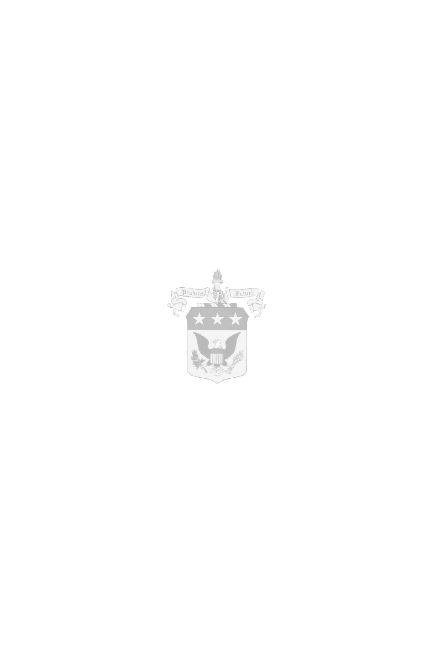